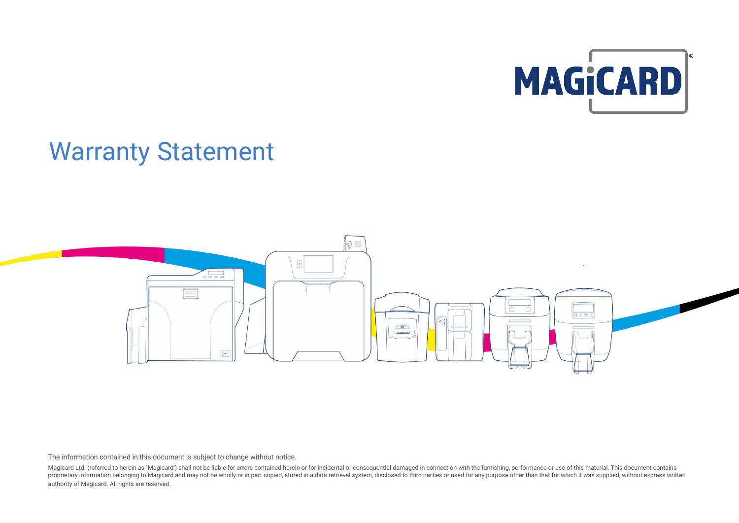

# Warranty Statement



The information contained in this document is subject to change without notice.

Magicard Ltd. (referred to herein as `Magicard') shall not be liable for errors contained herein or for incidental or consequential damaged in connection with the furnishing, performance or use of this material. This docum proprietary information belonging to Magicard and may not be wholly or in part copied, stored in a data retrieval system, disclosed to third parties or used for any purpose other than that for which it was supplied, withou authority of Magicard. All rights are reserved.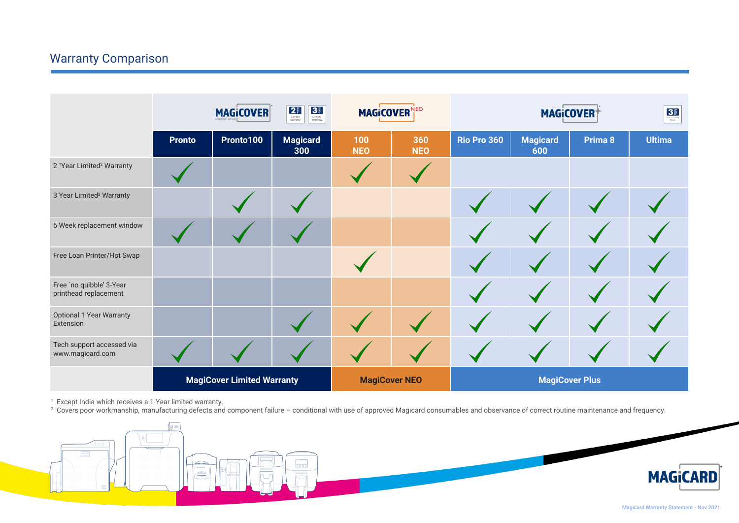## Warranty Comparison

|                                                   | $\begin{array}{ c c }\hline \textbf{2.7} & \textbf{3.1} \\ \hline \textbf{1.1} & \textbf{2.1} \\ \textbf{2.1} & \textbf{3.1} \\ \textbf{2.1} & \textbf{4.1} \\ \textbf{3.1} & \textbf{5.1} \\ \hline \end{array}$<br>3 <sup>3</sup><br><b>MAGICOVER</b><br>Limited<br>warranty |           | <b>MAGICOVER</b><br><b>NEO</b> |                      | <b>MAGICOVER</b>  |                       |                        | 3 <sub>mass</sub> |               |
|---------------------------------------------------|--------------------------------------------------------------------------------------------------------------------------------------------------------------------------------------------------------------------------------------------------------------------------------|-----------|--------------------------------|----------------------|-------------------|-----------------------|------------------------|-------------------|---------------|
|                                                   | <b>Pronto</b>                                                                                                                                                                                                                                                                  | Pronto100 | <b>Magicard</b><br>300         | 100<br><b>NEO</b>    | 360<br><b>NEO</b> | Rio Pro 360           | <b>Magicard</b><br>600 | Prima 8           | <b>Ultima</b> |
| 2 <sup>1</sup> Year Limited <sup>2</sup> Warranty |                                                                                                                                                                                                                                                                                |           |                                |                      |                   |                       |                        |                   |               |
| 3 Year Limited <sup>2</sup> Warranty              |                                                                                                                                                                                                                                                                                |           |                                |                      |                   |                       |                        |                   |               |
| 6 Week replacement window                         |                                                                                                                                                                                                                                                                                |           |                                |                      |                   |                       |                        |                   |               |
| Free Loan Printer/Hot Swap                        |                                                                                                                                                                                                                                                                                |           |                                |                      |                   |                       |                        |                   |               |
| Free `no quibble' 3-Year<br>printhead replacement |                                                                                                                                                                                                                                                                                |           |                                |                      |                   |                       |                        |                   |               |
| <b>Optional 1 Year Warranty</b><br>Extension      |                                                                                                                                                                                                                                                                                |           |                                |                      |                   |                       |                        |                   |               |
| Tech support accessed via<br>www.magicard.com     |                                                                                                                                                                                                                                                                                |           |                                |                      |                   |                       |                        |                   |               |
|                                                   | <b>MagiCover Limited Warranty</b>                                                                                                                                                                                                                                              |           |                                | <b>MagiCover NEO</b> |                   | <b>MagiCover Plus</b> |                        |                   |               |

1 Except India which receives a 1-Year limited warranty.<br><sup>2</sup> Covers poor workmanship, manufacturing defects and component failure – conditional with use of approved Magicard consumables and observance of correct routine ma

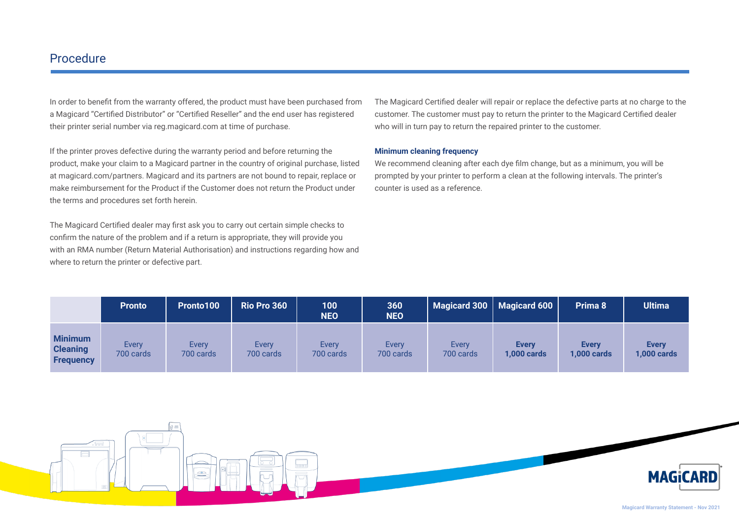### Procedure

In order to benefit from the warranty offered, the product must have been purchased from a Magicard "Certified Distributor" or "Certified Reseller" and the end user has registered their printer serial number via reg.magicard.com at time of purchase.

If the printer proves defective during the warranty period and before returning the product, make your claim to a Magicard partner in the country of original purchase, listed at magicard.com/partners. Magicard and its partners are not bound to repair, replace or make reimbursement for the Product if the Customer does not return the Product under the terms and procedures set forth herein.

The Magicard Certified dealer may first ask you to carry out certain simple checks to confirm the nature of the problem and if a return is appropriate, they will provide you with an RMA number (Return Material Authorisation) and instructions regarding how and where to return the printer or defective part.

The Magicard Certified dealer will repair or replace the defective parts at no charge to the customer. The customer must pay to return the printer to the Magicard Certified dealer who will in turn pay to return the repaired printer to the customer.

#### **Minimum cleaning frequency**

We recommend cleaning after each dye film change, but as a minimum, you will be prompted by your printer to perform a clean at the following intervals. The printer's counter is used as a reference.

|                                                       | <b>Pronto</b>      | Pronto100          | Rio Pro 360        | 100<br><b>NEO</b>  | 360<br><b>NEO</b>  |                    | Magicard 300   Magicard 600        | Prima 8                            | <b>Ultima</b>                      |
|-------------------------------------------------------|--------------------|--------------------|--------------------|--------------------|--------------------|--------------------|------------------------------------|------------------------------------|------------------------------------|
| <b>Minimum</b><br><b>Cleaning</b><br><b>Frequency</b> | Every<br>700 cards | Every<br>700 cards | Every<br>700 cards | Every<br>700 cards | Every<br>700 cards | Every<br>700 cards | <b>Every</b><br><b>1,000 cards</b> | <b>Every</b><br><b>1,000 cards</b> | <b>Every</b><br><b>1,000 cards</b> |

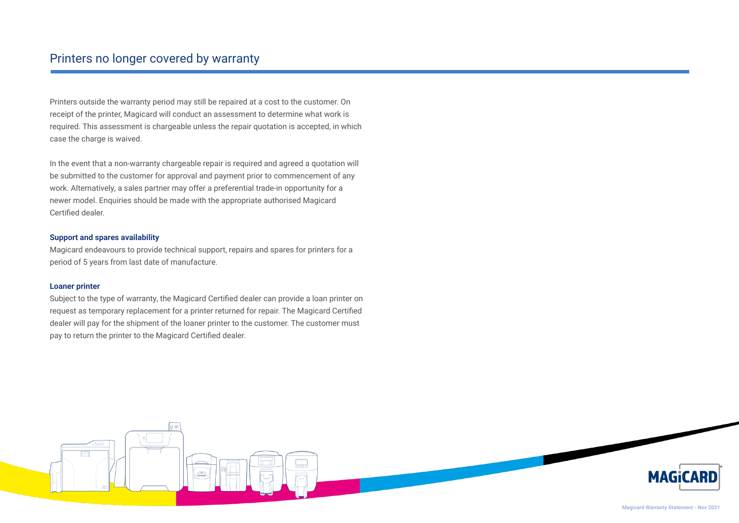Printers outside the warranty period may still be repaired at a cost to the customer. On receipt of the printer, Magicard will conduct an assessment to determine what work is required. This assessment is chargeable unless the repair quotation is accepted, in which case the charge is waived.

In the event that a non-warranty chargeable repair is required and agreed a quotation will be submitted to the customer for approval and payment prior to commencement of any work. Alternatively, a sales partner may offer a preferential trade-in opportunity for a newer model. Enquiries should be made with the appropriate authorised Magicard Certified dealer.

#### **Support and spares availability**

Magicard endeavours to provide technical support, repairs and spares for printers for a period of 5 years from last date of manufacture.

#### **Loaner printer**

Subject to the type of warranty, the Magicard Certified dealer can provide a loan printer on request as temporary replacement for a printer returned for repair. The Magicard Certified dealer will pay for the shipment of the loaner printer to the customer. The customer must pay to return the printer to the Magicard Certified dealer.